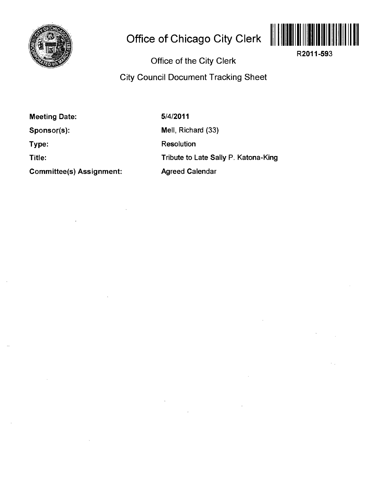

## **Office of Chicago City Clerk**



**R2011-593** 

## **Office of the City Clerk**

**City Council Document Tracking Sheet** 

**Meeting Date:** 

**Sponsor(s):** 

**Type:** 

**Title:** 

**Committee(s) Assignment:** 

**5/4/2011**  Mell, Richard (33) Resolution

Tribute to Late Sally P. Katona-King

Agreed Calendar